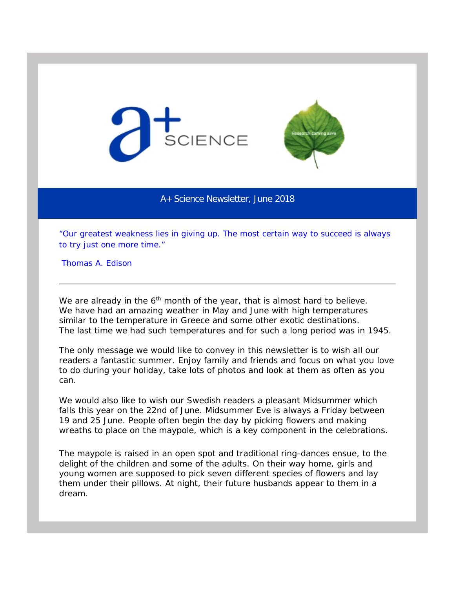



A+ Science Newsletter, June 2018

*"Our greatest weakness lies in giving up. The most certain way to succeed is always to try just one more time."*

Thomas A. Edison

We are already in the  $6<sup>th</sup>$  month of the year, that is almost hard to believe. We have had an amazing weather in May and June with high temperatures similar to the temperature in Greece and some other exotic destinations. The last time we had such temperatures and for such a long period was in 1945.

The only message we would like to convey in this newsletter is to wish all our readers a fantastic summer. Enjoy family and friends and focus on what you love to do during your holiday, take lots of photos and look at them as often as you can.

We would also like to wish our Swedish readers a pleasant Midsummer which falls this year on the 22nd of June. Midsummer Eve is always a Friday between 19 and 25 June. People often begin the day by picking flowers and making wreaths to place on the maypole, which is a key component in the celebrations.

The maypole is raised in an open spot and traditional ring-dances ensue, to the delight of the children and some of the adults. On their way home, girls and young women are supposed to pick seven different species of flowers and lay them under their pillows. At night, their future husbands appear to them in a dream.